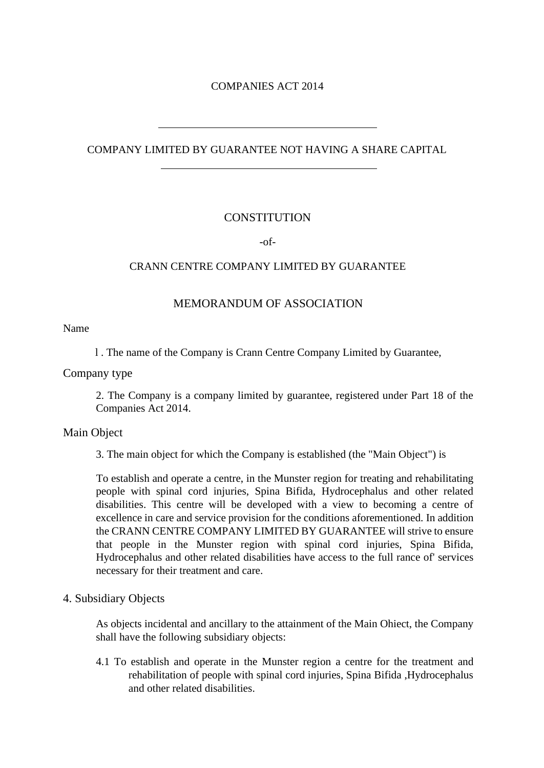## COMPANIES ACT 2014

# COMPANY LIMITED BY GUARANTEE NOT HAVING A SHARE CAPITAL

# **CONSTITUTION**

-of-

## CRANN CENTRE COMPANY LIMITED BY GUARANTEE

# MEMORANDUM OF ASSOCIATION

Name

l . The name of the Company is Crann Centre Company Limited by Guarantee,

Company type

2. The Company is a company limited by guarantee, registered under Part 18 of the Companies Act 2014.

#### Main Object

3. The main object for which the Company is established (the "Main Object") is

To establish and operate a centre, in the Munster region for treating and rehabilitating people with spinal cord injuries, Spina Bifida, Hydrocephalus and other related disabilities. This centre will be developed with a view to becoming a centre of excellence in care and service provision for the conditions aforementioned. In addition the CRANN CENTRE COMPANY LIMITED BY GUARANTEE will strive to ensure that people in the Munster region with spinal cord injuries, Spina Bifida, Hydrocephalus and other related disabilities have access to the full rance of' services necessary for their treatment and care.

#### 4. Subsidiary Objects

As objects incidental and ancillary to the attainment of the Main Ohiect, the Company shall have the following subsidiary objects:

4.1 To establish and operate in the Munster region a centre for the treatment and rehabilitation of people with spinal cord injuries, Spina Bifida ,Hydrocephalus and other related disabilities.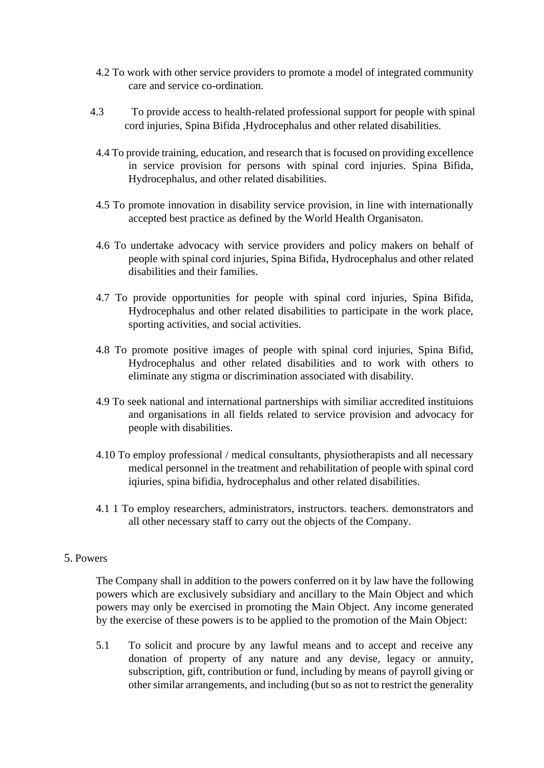- 4.2 To work with other service providers to promote a model of integrated community care and service co-ordination.
- 4.3 To provide access to health-related professional support for people with spinal cord injuries, Spina Bifida ,Hydrocephalus and other related disabilities.
- 4.4 To provide training, education, and research that is focused on providing excellence in service provision for persons with spinal cord injuries. Spina Bifida, Hydrocephalus, and other related disabilities.
- 4.5 To promote innovation in disability service provision, in line with internationally accepted best practice as defined by the World Health Organisaton.
- 4.6 To undertake advocacy with service providers and policy makers on behalf of people with spinal cord injuries, Spina Bifida, Hydrocephalus and other related disabilities and their families.
- 4.7 To provide opportunities for people with spinal cord injuries, Spina Bifida, Hydrocephalus and other related disabilities to participate in the work place, sporting activities, and social activities.
- 4.8 To promote positive images of people with spinal cord injuries, Spina Bifid, Hydrocephalus and other related disabilities and to work with others to eliminate any stigma or discrimination associated with disability.
- 4.9 To seek national and international partnerships with similiar accredited instituions and organisations in all fields related to service provision and advocacy for people with disabilities.
- 4.10 To employ professional / medical consultants, physiotherapists and all necessary medical personnel in the treatment and rehabilitation of people with spinal cord iqiuries, spina bifidia, hydrocephalus and other related disabilities.
- 4.1 1 To employ researchers, administrators, instructors. teachers. demonstrators and all other necessary staff to carry out the objects of the Company.

#### 5. Powers

The Company shall in addition to the powers conferred on it by law have the following powers which are exclusively subsidiary and ancillary to the Main Object and which powers may only be exercised in promoting the Main Object. Any income generated by the exercise of these powers is to be applied to the promotion of the Main Object:

5.1 To solicit and procure by any lawful means and to accept and receive any donation of property of any nature and any devise, legacy or annuity, subscription, gift, contribution or fund, including by means of payroll giving or other similar arrangements, and including (but so as not to restrict the generality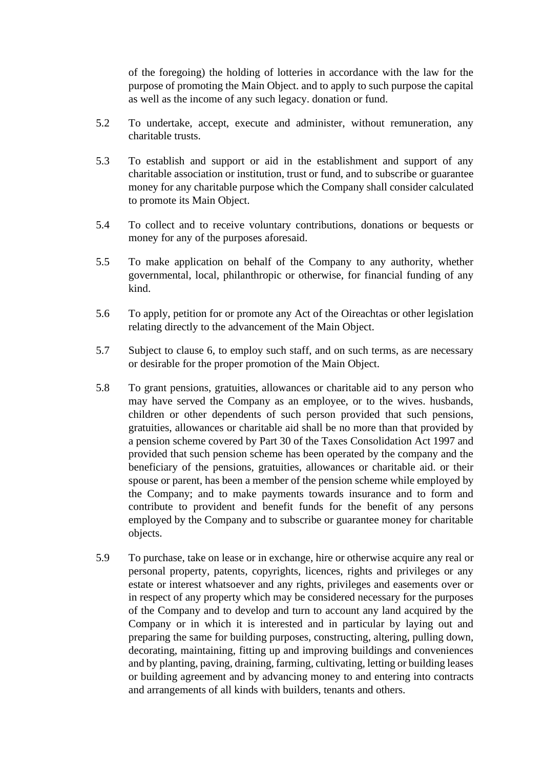of the foregoing) the holding of lotteries in accordance with the law for the purpose of promoting the Main Object. and to apply to such purpose the capital as well as the income of any such legacy. donation or fund.

- 5.2 To undertake, accept, execute and administer, without remuneration, any charitable trusts.
- 5.3 To establish and support or aid in the establishment and support of any charitable association or institution, trust or fund, and to subscribe or guarantee money for any charitable purpose which the Company shall consider calculated to promote its Main Object.
- 5.4 To collect and to receive voluntary contributions, donations or bequests or money for any of the purposes aforesaid.
- 5.5 To make application on behalf of the Company to any authority, whether governmental, local, philanthropic or otherwise, for financial funding of any kind.
- 5.6 To apply, petition for or promote any Act of the Oireachtas or other legislation relating directly to the advancement of the Main Object.
- 5.7 Subject to clause 6, to employ such staff, and on such terms, as are necessary or desirable for the proper promotion of the Main Object.
- 5.8 To grant pensions, gratuities, allowances or charitable aid to any person who may have served the Company as an employee, or to the wives. husbands, children or other dependents of such person provided that such pensions, gratuities, allowances or charitable aid shall be no more than that provided by a pension scheme covered by Part 30 of the Taxes Consolidation Act 1997 and provided that such pension scheme has been operated by the company and the beneficiary of the pensions, gratuities, allowances or charitable aid. or their spouse or parent, has been a member of the pension scheme while employed by the Company; and to make payments towards insurance and to form and contribute to provident and benefit funds for the benefit of any persons employed by the Company and to subscribe or guarantee money for charitable objects.
- 5.9 To purchase, take on lease or in exchange, hire or otherwise acquire any real or personal property, patents, copyrights, licences, rights and privileges or any estate or interest whatsoever and any rights, privileges and easements over or in respect of any property which may be considered necessary for the purposes of the Company and to develop and turn to account any land acquired by the Company or in which it is interested and in particular by laying out and preparing the same for building purposes, constructing, altering, pulling down, decorating, maintaining, fitting up and improving buildings and conveniences and by planting, paving, draining, farming, cultivating, letting or building leases or building agreement and by advancing money to and entering into contracts and arrangements of all kinds with builders, tenants and others.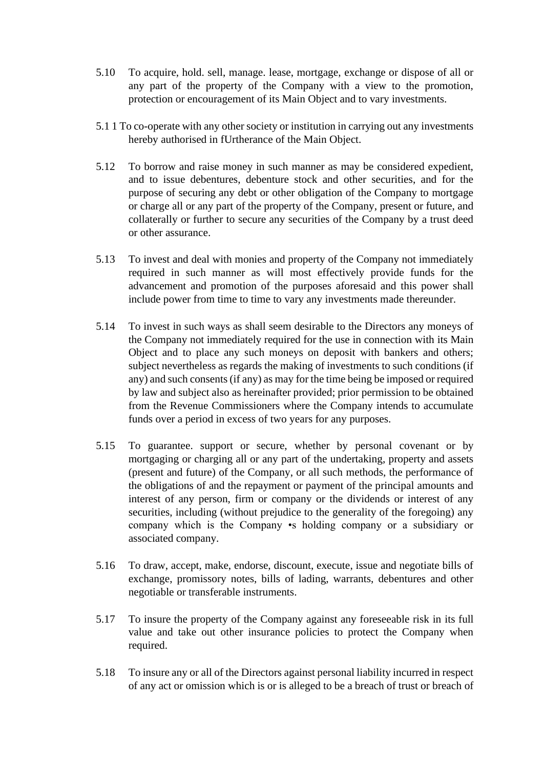- 5.10 To acquire, hold. sell, manage. lease, mortgage, exchange or dispose of all or any part of the property of the Company with a view to the promotion, protection or encouragement of its Main Object and to vary investments.
- 5.1 1 To co-operate with any other society or institution in carrying out any investments hereby authorised in fUrtherance of the Main Object.
- 5.12 To borrow and raise money in such manner as may be considered expedient, and to issue debentures, debenture stock and other securities, and for the purpose of securing any debt or other obligation of the Company to mortgage or charge all or any part of the property of the Company, present or future, and collaterally or further to secure any securities of the Company by a trust deed or other assurance.
- 5.13 To invest and deal with monies and property of the Company not immediately required in such manner as will most effectively provide funds for the advancement and promotion of the purposes aforesaid and this power shall include power from time to time to vary any investments made thereunder.
- 5.14 To invest in such ways as shall seem desirable to the Directors any moneys of the Company not immediately required for the use in connection with its Main Object and to place any such moneys on deposit with bankers and others; subject nevertheless as regards the making of investments to such conditions (if any) and such consents (if any) as may for the time being be imposed or required by law and subject also as hereinafter provided; prior permission to be obtained from the Revenue Commissioners where the Company intends to accumulate funds over a period in excess of two years for any purposes.
- 5.15 To guarantee. support or secure, whether by personal covenant or by mortgaging or charging all or any part of the undertaking, property and assets (present and future) of the Company, or all such methods, the performance of the obligations of and the repayment or payment of the principal amounts and interest of any person, firm or company or the dividends or interest of any securities, including (without prejudice to the generality of the foregoing) any company which is the Company •s holding company or a subsidiary or associated company.
- 5.16 To draw, accept, make, endorse, discount, execute, issue and negotiate bills of exchange, promissory notes, bills of lading, warrants, debentures and other negotiable or transferable instruments.
- 5.17 To insure the property of the Company against any foreseeable risk in its full value and take out other insurance policies to protect the Company when required.
- 5.18 To insure any or all of the Directors against personal liability incurred in respect of any act or omission which is or is alleged to be a breach of trust or breach of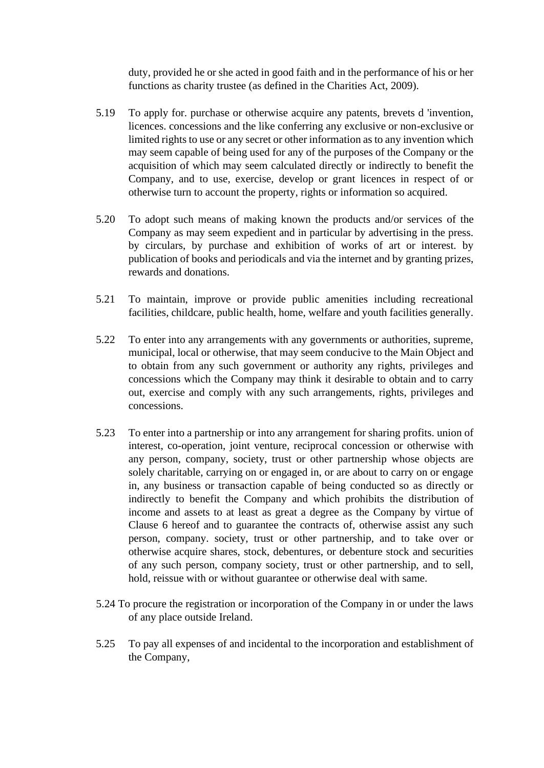duty, provided he or she acted in good faith and in the performance of his or her functions as charity trustee (as defined in the Charities Act, 2009).

- 5.19 To apply for. purchase or otherwise acquire any patents, brevets d 'invention, licences. concessions and the like conferring any exclusive or non-exclusive or limited rights to use or any secret or other information as to any invention which may seem capable of being used for any of the purposes of the Company or the acquisition of which may seem calculated directly or indirectly to benefit the Company, and to use, exercise, develop or grant licences in respect of or otherwise turn to account the property, rights or information so acquired.
- 5.20 To adopt such means of making known the products and/or services of the Company as may seem expedient and in particular by advertising in the press. by circulars, by purchase and exhibition of works of art or interest. by publication of books and periodicals and via the internet and by granting prizes, rewards and donations.
- 5.21 To maintain, improve or provide public amenities including recreational facilities, childcare, public health, home, welfare and youth facilities generally.
- 5.22 To enter into any arrangements with any governments or authorities, supreme, municipal, local or otherwise, that may seem conducive to the Main Object and to obtain from any such government or authority any rights, privileges and concessions which the Company may think it desirable to obtain and to carry out, exercise and comply with any such arrangements, rights, privileges and concessions.
- 5.23 To enter into a partnership or into any arrangement for sharing profits. union of interest, co-operation, joint venture, reciprocal concession or otherwise with any person, company, society, trust or other partnership whose objects are solely charitable, carrying on or engaged in, or are about to carry on or engage in, any business or transaction capable of being conducted so as directly or indirectly to benefit the Company and which prohibits the distribution of income and assets to at least as great a degree as the Company by virtue of Clause 6 hereof and to guarantee the contracts of, otherwise assist any such person, company. society, trust or other partnership, and to take over or otherwise acquire shares, stock, debentures, or debenture stock and securities of any such person, company society, trust or other partnership, and to sell, hold, reissue with or without guarantee or otherwise deal with same.
- 5.24 To procure the registration or incorporation of the Company in or under the laws of any place outside Ireland.
- 5.25 To pay all expenses of and incidental to the incorporation and establishment of the Company,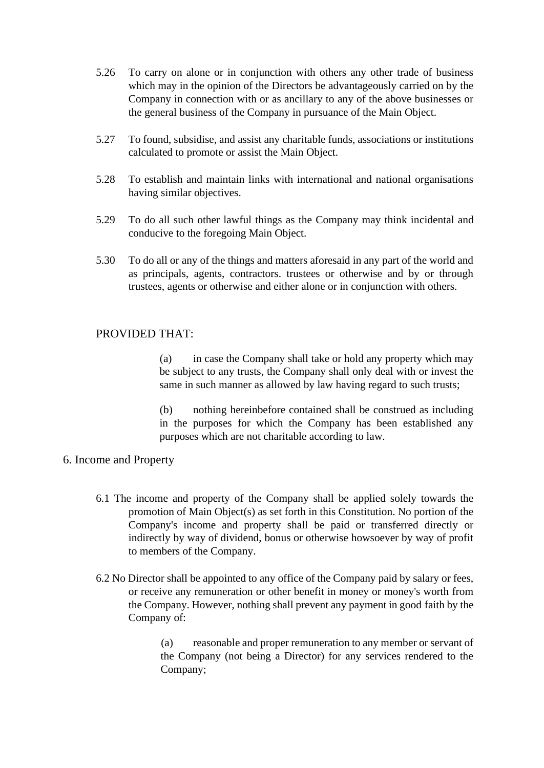- 5.26 To carry on alone or in conjunction with others any other trade of business which may in the opinion of the Directors be advantageously carried on by the Company in connection with or as ancillary to any of the above businesses or the general business of the Company in pursuance of the Main Object.
- 5.27 To found, subsidise, and assist any charitable funds, associations or institutions calculated to promote or assist the Main Object.
- 5.28 To establish and maintain links with international and national organisations having similar objectives.
- 5.29 To do all such other lawful things as the Company may think incidental and conducive to the foregoing Main Object.
- 5.30 To do all or any of the things and matters aforesaid in any part of the world and as principals, agents, contractors. trustees or otherwise and by or through trustees, agents or otherwise and either alone or in conjunction with others.

#### PROVIDED THAT:

(a) in case the Company shall take or hold any property which may be subject to any trusts, the Company shall only deal with or invest the same in such manner as allowed by law having regard to such trusts;

(b) nothing hereinbefore contained shall be construed as including in the purposes for which the Company has been established any purposes which are not charitable according to law.

#### 6. Income and Property

- 6.1 The income and property of the Company shall be applied solely towards the promotion of Main Object(s) as set forth in this Constitution. No portion of the Company's income and property shall be paid or transferred directly or indirectly by way of dividend, bonus or otherwise howsoever by way of profit to members of the Company.
- 6.2 No Director shall be appointed to any office of the Company paid by salary or fees, or receive any remuneration or other benefit in money or money's worth from the Company. However, nothing shall prevent any payment in good faith by the Company of:

(a) reasonable and proper remuneration to any member or servant of the Company (not being a Director) for any services rendered to the Company;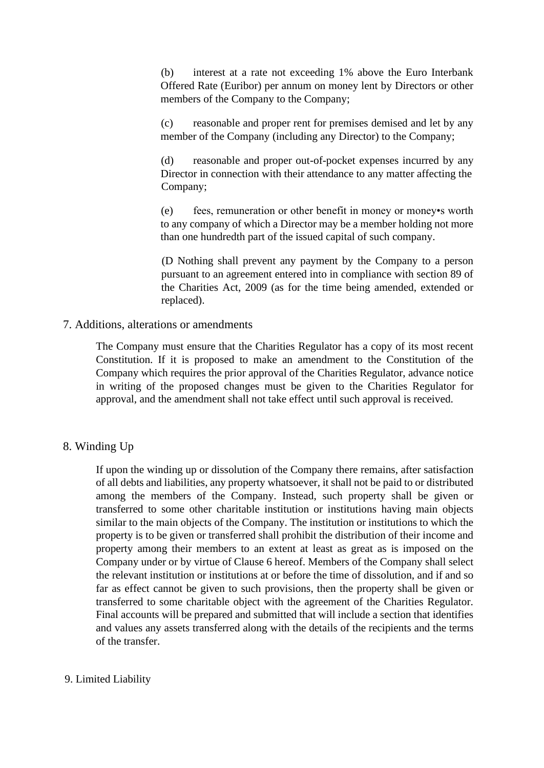(b) interest at a rate not exceeding 1% above the Euro Interbank Offered Rate (Euribor) per annum on money lent by Directors or other members of the Company to the Company;

(c) reasonable and proper rent for premises demised and let by any member of the Company (including any Director) to the Company;

(d) reasonable and proper out-of-pocket expenses incurred by any Director in connection with their attendance to any matter affecting the Company;

(e) fees, remuneration or other benefit in money or money•s worth to any company of which a Director may be a member holding not more than one hundredth part of the issued capital of such company.

(D Nothing shall prevent any payment by the Company to a person pursuant to an agreement entered into in compliance with section 89 of the Charities Act, 2009 (as for the time being amended, extended or replaced).

#### 7. Additions, alterations or amendments

The Company must ensure that the Charities Regulator has a copy of its most recent Constitution. If it is proposed to make an amendment to the Constitution of the Company which requires the prior approval of the Charities Regulator, advance notice in writing of the proposed changes must be given to the Charities Regulator for approval, and the amendment shall not take effect until such approval is received.

#### 8. Winding Up

If upon the winding up or dissolution of the Company there remains, after satisfaction of all debts and liabilities, any property whatsoever, it shall not be paid to or distributed among the members of the Company. Instead, such property shall be given or transferred to some other charitable institution or institutions having main objects similar to the main objects of the Company. The institution or institutions to which the property is to be given or transferred shall prohibit the distribution of their income and property among their members to an extent at least as great as is imposed on the Company under or by virtue of Clause 6 hereof. Members of the Company shall select the relevant institution or institutions at or before the time of dissolution, and if and so far as effect cannot be given to such provisions, then the property shall be given or transferred to some charitable object with the agreement of the Charities Regulator. Final accounts will be prepared and submitted that will include a section that identifies and values any assets transferred along with the details of the recipients and the terms of the transfer.

#### 9. Limited Liability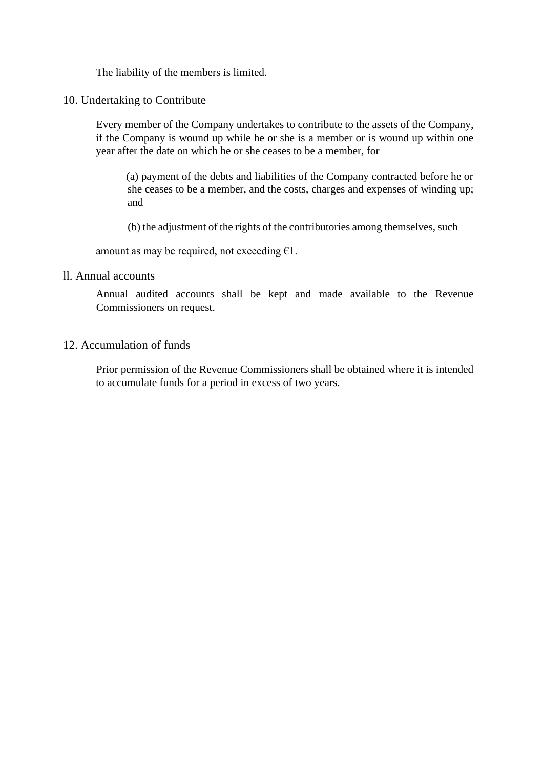The liability of the members is limited.

10. Undertaking to Contribute

Every member of the Company undertakes to contribute to the assets of the Company, if the Company is wound up while he or she is a member or is wound up within one year after the date on which he or she ceases to be a member, for

(a) payment of the debts and liabilities of the Company contracted before he or she ceases to be a member, and the costs, charges and expenses of winding up; and

(b) the adjustment of the rights of the contributories among themselves, such

amount as may be required, not exceeding  $\epsilon$ 1.

#### ll. Annual accounts

Annual audited accounts shall be kept and made available to the Revenue Commissioners on request.

## 12. Accumulation of funds

Prior permission of the Revenue Commissioners shall be obtained where it is intended to accumulate funds for a period in excess of two years.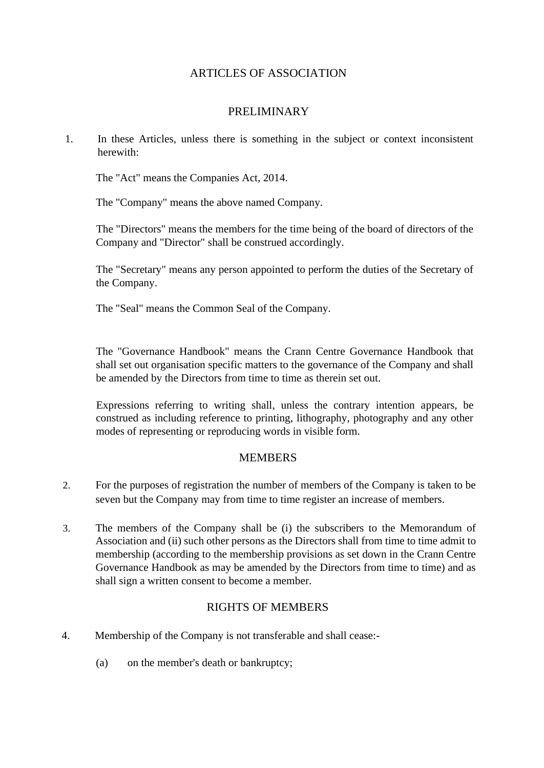# ARTICLES OF ASSOCIATION

# PRELIMINARY

1. In these Articles, unless there is something in the subject or context inconsistent herewith:

The "Act" means the Companies Act, 2014.

The "Company" means the above named Company.

The "Directors" means the members for the time being of the board of directors of the Company and "Director" shall be construed accordingly.

The "Secretary" means any person appointed to perform the duties of the Secretary of the Company.

The "Seal" means the Common Seal of the Company.

The "Governance Handbook" means the Crann Centre Governance Handbook that shall set out organisation specific matters to the governance of the Company and shall be amended by the Directors from time to time as therein set out.

Expressions referring to writing shall, unless the contrary intention appears, be construed as including reference to printing, lithography, photography and any other modes of representing or reproducing words in visible form.

#### MEMBERS

- 2. For the purposes of registration the number of members of the Company is taken to be seven but the Company may from time to time register an increase of members.
- 3. The members of the Company shall be (i) the subscribers to the Memorandum of Association and (ii) such other persons as the Directors shall from time to time admit to membership (according to the membership provisions as set down in the Crann Centre Governance Handbook as may be amended by the Directors from time to time) and as shall sign a written consent to become a member.

## RIGHTS OF MEMBERS

- 4. Membership of the Company is not transferable and shall cease:-
	- (a) on the member's death or bankruptcy;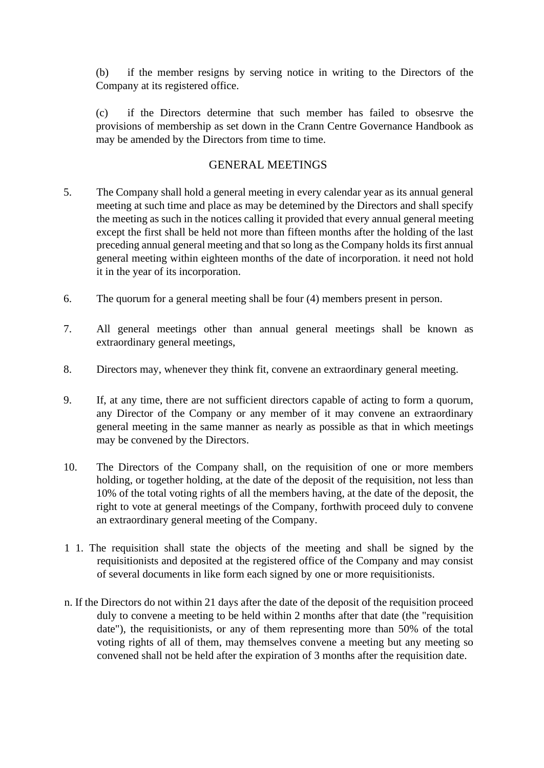(b) if the member resigns by serving notice in writing to the Directors of the Company at its registered office.

(c) if the Directors determine that such member has failed to obsesrve the provisions of membership as set down in the Crann Centre Governance Handbook as may be amended by the Directors from time to time.

## GENERAL MEETINGS

- 5. The Company shall hold a general meeting in every calendar year as its annual general meeting at such time and place as may be detemined by the Directors and shall specify the meeting as such in the notices calling it provided that every annual general meeting except the first shall be held not more than fifteen months after the holding of the last preceding annual general meeting and that so long as the Company holds its first annual general meeting within eighteen months of the date of incorporation. it need not hold it in the year of its incorporation.
- 6. The quorum for a general meeting shall be four (4) members present in person.
- 7. All general meetings other than annual general meetings shall be known as extraordinary general meetings,
- 8. Directors may, whenever they think fit, convene an extraordinary general meeting.
- 9. If, at any time, there are not sufficient directors capable of acting to form a quorum, any Director of the Company or any member of it may convene an extraordinary general meeting in the same manner as nearly as possible as that in which meetings may be convened by the Directors.
- 10. The Directors of the Company shall, on the requisition of one or more members holding, or together holding, at the date of the deposit of the requisition, not less than 10% of the total voting rights of all the members having, at the date of the deposit, the right to vote at general meetings of the Company, forthwith proceed duly to convene an extraordinary general meeting of the Company.
- 1 1. The requisition shall state the objects of the meeting and shall be signed by the requisitionists and deposited at the registered office of the Company and may consist of several documents in like form each signed by one or more requisitionists.
- n. If the Directors do not within 21 days after the date of the deposit of the requisition proceed duly to convene a meeting to be held within 2 months after that date (the "requisition date"), the requisitionists, or any of them representing more than 50% of the total voting rights of all of them, may themselves convene a meeting but any meeting so convened shall not be held after the expiration of 3 months after the requisition date.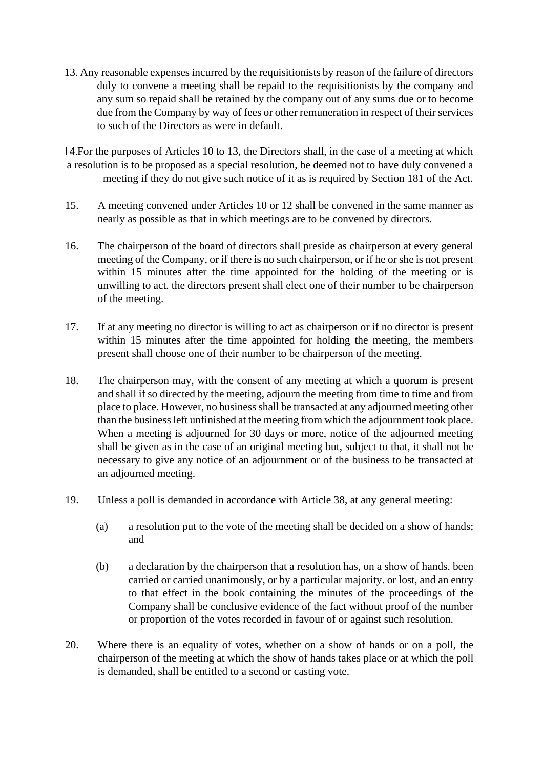13. Any reasonable expenses incurred by the requisitionists by reason of the failure of directors duly to convene a meeting shall be repaid to the requisitionists by the company and any sum so repaid shall be retained by the company out of any sums due or to become due from the Company by way of fees or other remuneration in respect of their services to such of the Directors as were in default.

14. For the purposes of Articles 10 to 13, the Directors shall, in the case of a meeting at which a resolution is to be proposed as a special resolution, be deemed not to have duly convened a meeting if they do not give such notice of it as is required by Section 181 of the Act.

- 15. A meeting convened under Articles 10 or 12 shall be convened in the same manner as nearly as possible as that in which meetings are to be convened by directors.
- 16. The chairperson of the board of directors shall preside as chairperson at every general meeting of the Company, or if there is no such chairperson, or if he or she is not present within 15 minutes after the time appointed for the holding of the meeting or is unwilling to act. the directors present shall elect one of their number to be chairperson of the meeting.
- 17. If at any meeting no director is willing to act as chairperson or if no director is present within 15 minutes after the time appointed for holding the meeting, the members present shall choose one of their number to be chairperson of the meeting.
- 18. The chairperson may, with the consent of any meeting at which a quorum is present and shall if so directed by the meeting, adjourn the meeting from time to time and from place to place. However, no business shall be transacted at any adjourned meeting other than the business left unfinished at the meeting from which the adjournment took place. When a meeting is adjourned for 30 days or more, notice of the adjourned meeting shall be given as in the case of an original meeting but, subject to that, it shall not be necessary to give any notice of an adjournment or of the business to be transacted at an adjourned meeting.
- 19. Unless a poll is demanded in accordance with Article 38, at any general meeting:
	- (a) a resolution put to the vote of the meeting shall be decided on a show of hands; and
	- (b) a declaration by the chairperson that a resolution has, on a show of hands. been carried or carried unanimously, or by a particular majority. or lost, and an entry to that effect in the book containing the minutes of the proceedings of the Company shall be conclusive evidence of the fact without proof of the number or proportion of the votes recorded in favour of or against such resolution.
- 20. Where there is an equality of votes, whether on a show of hands or on a poll, the chairperson of the meeting at which the show of hands takes place or at which the poll is demanded, shall be entitled to a second or casting vote.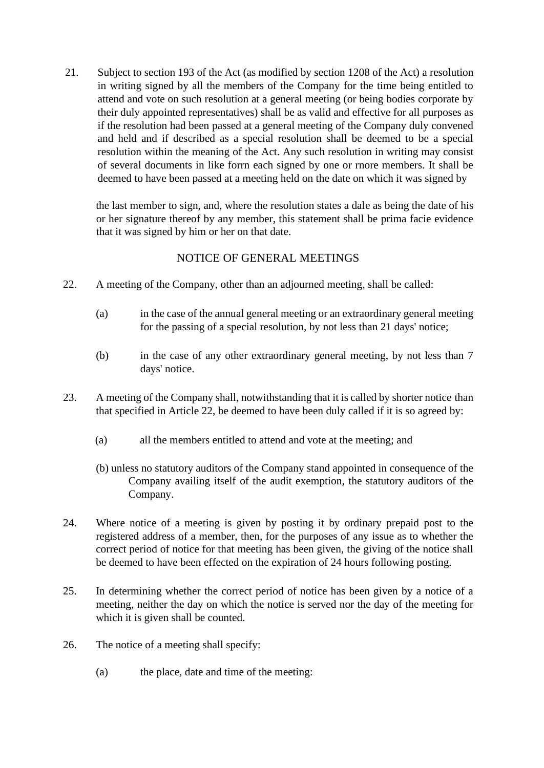21. Subject to section 193 of the Act (as modified by section 1208 of the Act) a resolution in writing signed by all the members of the Company for the time being entitled to attend and vote on such resolution at a general meeting (or being bodies corporate by their duly appointed representatives) shall be as valid and effective for all purposes as if the resolution had been passed at a general meeting of the Company duly convened and held and if described as a special resolution shall be deemed to be a special resolution within the meaning of the Act. Any such resolution in writing may consist of several documents in like forrn each signed by one or rnore members. It shall be deemed to have been passed at a meeting held on the date on which it was signed by

the last member to sign, and, where the resolution states a dale as being the date of his or her signature thereof by any member, this statement shall be prima facie evidence that it was signed by him or her on that date.

## NOTICE OF GENERAL MEETINGS

- 22. A meeting of the Company, other than an adjourned meeting, shall be called:
	- (a) in the case of the annual general meeting or an extraordinary general meeting for the passing of a special resolution, by not less than 21 days' notice;
	- (b) in the case of any other extraordinary general meeting, by not less than 7 days' notice.
- 23. A meeting of the Company shall, notwithstanding that it is called by shorter notice than that specified in Article 22, be deemed to have been duly called if it is so agreed by:
	- (a) all the members entitled to attend and vote at the meeting; and
	- (b) unless no statutory auditors of the Company stand appointed in consequence of the Company availing itself of the audit exemption, the statutory auditors of the Company.
- 24. Where notice of a meeting is given by posting it by ordinary prepaid post to the registered address of a member, then, for the purposes of any issue as to whether the correct period of notice for that meeting has been given, the giving of the notice shall be deemed to have been effected on the expiration of 24 hours following posting.
- 25. In determining whether the correct period of notice has been given by a notice of a meeting, neither the day on which the notice is served nor the day of the meeting for which it is given shall be counted.
- 26. The notice of a meeting shall specify:
	- (a) the place, date and time of the meeting: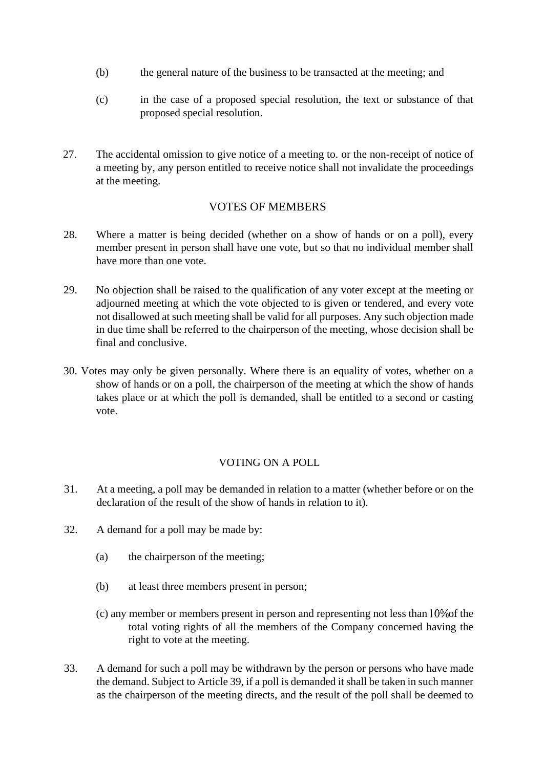- (b) the general nature of the business to be transacted at the meeting; and
- (c) in the case of a proposed special resolution, the text or substance of that proposed special resolution.
- 27. The accidental omission to give notice of a meeting to. or the non-receipt of notice of a meeting by, any person entitled to receive notice shall not invalidate the proceedings at the meeting.

# VOTES OF MEMBERS

- 28. Where a matter is being decided (whether on a show of hands or on a poll), every member present in person shall have one vote, but so that no individual member shall have more than one vote.
- 29. No objection shall be raised to the qualification of any voter except at the meeting or adjourned meeting at which the vote objected to is given or tendered, and every vote not disallowed at such meeting shall be valid for all purposes. Any such objection made in due time shall be referred to the chairperson of the meeting, whose decision shall be final and conclusive.
- 30. Votes may only be given personally. Where there is an equality of votes, whether on a show of hands or on a poll, the chairperson of the meeting at which the show of hands takes place or at which the poll is demanded, shall be entitled to a second or casting vote.

## VOTING ON A POLL

- 31. At a meeting, a poll may be demanded in relation to a matter (whether before or on the declaration of the result of the show of hands in relation to it).
- 32. A demand for a poll may be made by:
	- (a) the chairperson of the meeting;
	- (b) at least three members present in person;
	- $(c)$  any member or members present in person and representing not less than  $10\%$  of the total voting rights of all the members of the Company concerned having the right to vote at the meeting.
- 33. A demand for such a poll may be withdrawn by the person or persons who have made the demand. Subject to Article 39, if a poll is demanded it shall be taken in such manner as the chairperson of the meeting directs, and the result of the poll shall be deemed to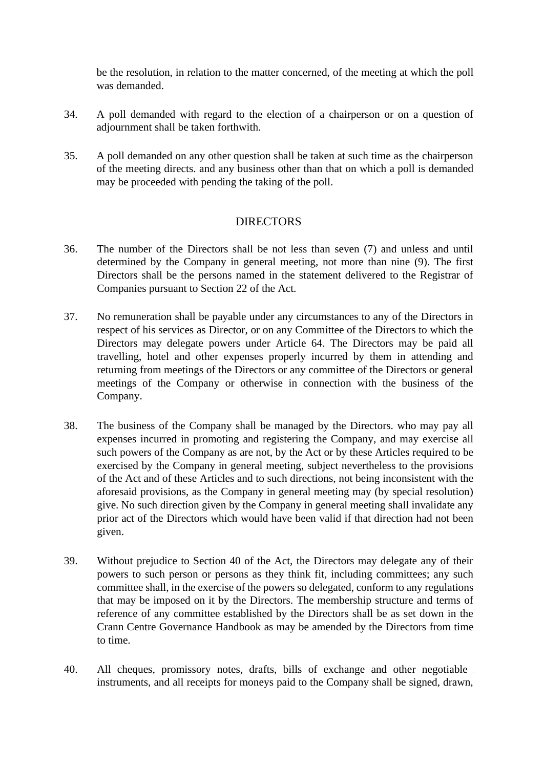be the resolution, in relation to the matter concerned, of the meeting at which the poll was demanded.

- 34. A poll demanded with regard to the election of a chairperson or on a question of adjournment shall be taken forthwith.
- 35. A poll demanded on any other question shall be taken at such time as the chairperson of the meeting directs. and any business other than that on which a poll is demanded may be proceeded with pending the taking of the poll.

## **DIRECTORS**

- 36. The number of the Directors shall be not less than seven (7) and unless and until determined by the Company in general meeting, not more than nine (9). The first Directors shall be the persons named in the statement delivered to the Registrar of Companies pursuant to Section 22 of the Act.
- 37. No remuneration shall be payable under any circumstances to any of the Directors in respect of his services as Director, or on any Committee of the Directors to which the Directors may delegate powers under Article 64. The Directors may be paid all travelling, hotel and other expenses properly incurred by them in attending and returning from meetings of the Directors or any committee of the Directors or general meetings of the Company or otherwise in connection with the business of the Company.
- 38. The business of the Company shall be managed by the Directors. who may pay all expenses incurred in promoting and registering the Company, and may exercise all such powers of the Company as are not, by the Act or by these Articles required to be exercised by the Company in general meeting, subject nevertheless to the provisions of the Act and of these Articles and to such directions, not being inconsistent with the aforesaid provisions, as the Company in general meeting may (by special resolution) give. No such direction given by the Company in general meeting shall invalidate any prior act of the Directors which would have been valid if that direction had not been given.
- 39. Without prejudice to Section 40 of the Act, the Directors may delegate any of their powers to such person or persons as they think fit, including committees; any such committee shall, in the exercise of the powers so delegated, conform to any regulations that may be imposed on it by the Directors. The membership structure and terms of reference of any committee established by the Directors shall be as set down in the Crann Centre Governance Handbook as may be amended by the Directors from time to time.
- 40. All cheques, promissory notes, drafts, bills of exchange and other negotiable instruments, and all receipts for moneys paid to the Company shall be signed, drawn,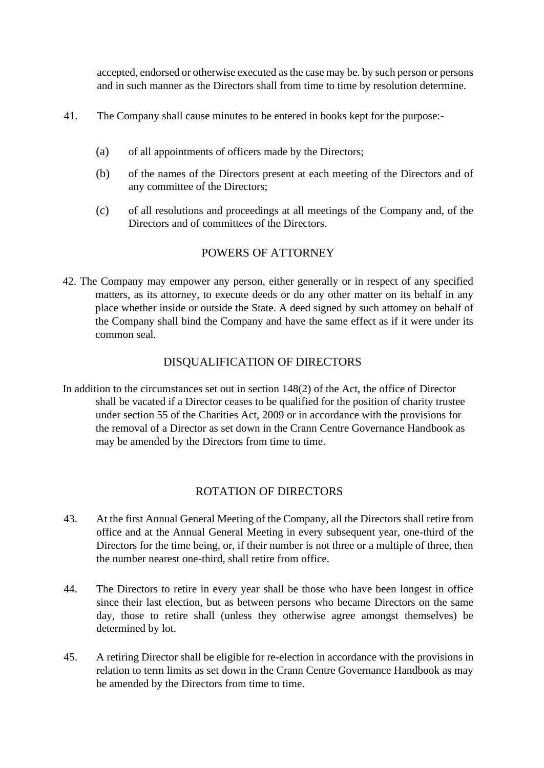accepted, endorsed or otherwise executed as the case may be. by such person or persons and in such manner as the Directors shall from time to time by resolution determine.

- 41. The Company shall cause minutes to be entered in books kept for the purpose:-
	- (a) of all appointments of officers made by the Directors;
	- (b) of the names of the Directors present at each meeting of the Directors and of any committee of the Directors;
	- (c) of all resolutions and proceedings at all meetings of the Company and, of the Directors and of committees of the Directors.

## POWERS OF ATTORNEY

42. The Company may empower any person, either generally or in respect of any specified matters, as its attorney, to execute deeds or do any other matter on its behalf in any place whether inside or outside the State. A deed signed by such attomey on behalf of the Company shall bind the Company and have the same effect as if it were under its common seal.

# DISQUALIFICATION OF DIRECTORS

In addition to the circumstances set out in section 148(2) of the Act, the office of Director shall be vacated if a Director ceases to be qualified for the position of charity trustee under section 55 of the Charities Act, 2009 or in accordance with the provisions for the removal of a Director as set down in the Crann Centre Governance Handbook as may be amended by the Directors from time to time.

## ROTATION OF DIRECTORS

- 43. At the first Annual General Meeting of the Company, all the Directors shall retire from office and at the Annual General Meeting in every subsequent year, one-third of the Directors for the time being, or, if their number is not three or a multiple of three, then the number nearest one-third, shall retire from office.
- 44. The Directors to retire in every year shall be those who have been longest in office since their last election, but as between persons who became Directors on the same day, those to retire shall (unless they otherwise agree amongst themselves) be determined by lot.
- 45. A retiring Director shall be eligible for re-election in accordance with the provisions in relation to term limits as set down in the Crann Centre Governance Handbook as may be amended by the Directors from time to time.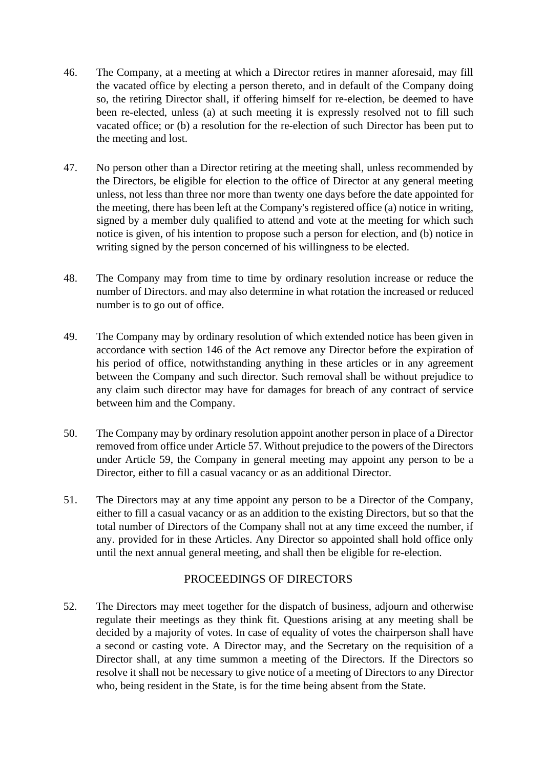- 46. The Company, at a meeting at which a Director retires in manner aforesaid, may fill the vacated office by electing a person thereto, and in default of the Company doing so, the retiring Director shall, if offering himself for re-election, be deemed to have been re-elected, unless (a) at such meeting it is expressly resolved not to fill such vacated office; or (b) a resolution for the re-election of such Director has been put to the meeting and lost.
- 47. No person other than a Director retiring at the meeting shall, unless recommended by the Directors, be eligible for election to the office of Director at any general meeting unless, not less than three nor more than twenty one days before the date appointed for the meeting, there has been left at the Company's registered office (a) notice in writing, signed by a member duly qualified to attend and vote at the meeting for which such notice is given, of his intention to propose such a person for election, and (b) notice in writing signed by the person concerned of his willingness to be elected.
- 48. The Company may from time to time by ordinary resolution increase or reduce the number of Directors. and may also determine in what rotation the increased or reduced number is to go out of office.
- 49. The Company may by ordinary resolution of which extended notice has been given in accordance with section 146 of the Act remove any Director before the expiration of his period of office, notwithstanding anything in these articles or in any agreement between the Company and such director. Such removal shall be without prejudice to any claim such director may have for damages for breach of any contract of service between him and the Company.
- 50. The Company may by ordinary resolution appoint another person in place of a Director removed from office under Article 57. Without prejudice to the powers of the Directors under Article 59, the Company in general meeting may appoint any person to be a Director, either to fill a casual vacancy or as an additional Director.
- 51. The Directors may at any time appoint any person to be a Director of the Company, either to fill a casual vacancy or as an addition to the existing Directors, but so that the total number of Directors of the Company shall not at any time exceed the number, if any. provided for in these Articles. Any Director so appointed shall hold office only until the next annual general meeting, and shall then be eligible for re-election.

## PROCEEDINGS OF DIRECTORS

52. The Directors may meet together for the dispatch of business, adjourn and otherwise regulate their meetings as they think fit. Questions arising at any meeting shall be decided by a majority of votes. In case of equality of votes the chairperson shall have a second or casting vote. A Director may, and the Secretary on the requisition of a Director shall, at any time summon a meeting of the Directors. If the Directors so resolve it shall not be necessary to give notice of a meeting of Directors to any Director who, being resident in the State, is for the time being absent from the State.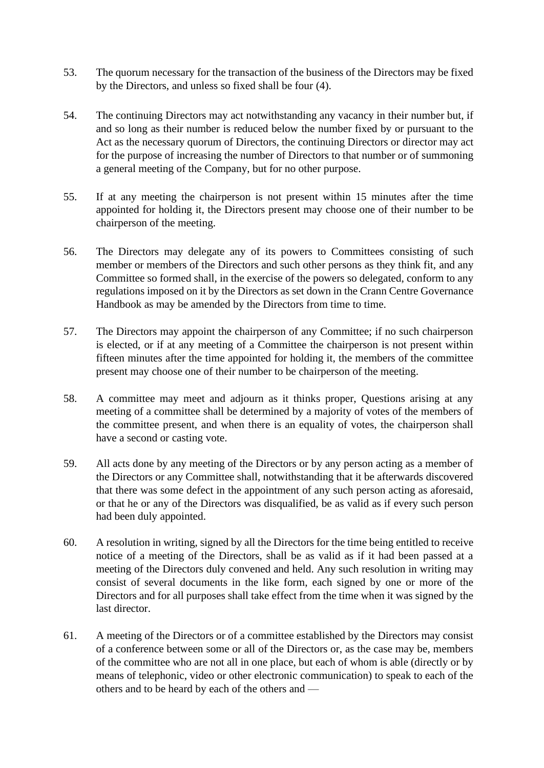- 53. The quorum necessary for the transaction of the business of the Directors may be fixed by the Directors, and unless so fixed shall be four (4).
- 54. The continuing Directors may act notwithstanding any vacancy in their number but, if and so long as their number is reduced below the number fixed by or pursuant to the Act as the necessary quorum of Directors, the continuing Directors or director may act for the purpose of increasing the number of Directors to that number or of summoning a general meeting of the Company, but for no other purpose.
- 55. If at any meeting the chairperson is not present within 15 minutes after the time appointed for holding it, the Directors present may choose one of their number to be chairperson of the meeting.
- 56. The Directors may delegate any of its powers to Committees consisting of such member or members of the Directors and such other persons as they think fit, and any Committee so formed shall, in the exercise of the powers so delegated, conform to any regulations imposed on it by the Directors as set down in the Crann Centre Governance Handbook as may be amended by the Directors from time to time.
- 57. The Directors may appoint the chairperson of any Committee; if no such chairperson is elected, or if at any meeting of a Committee the chairperson is not present within fifteen minutes after the time appointed for holding it, the members of the committee present may choose one of their number to be chairperson of the meeting.
- 58. A committee may meet and adjourn as it thinks proper, Questions arising at any meeting of a committee shall be determined by a majority of votes of the members of the committee present, and when there is an equality of votes, the chairperson shall have a second or casting vote.
- 59. All acts done by any meeting of the Directors or by any person acting as a member of the Directors or any Committee shall, notwithstanding that it be afterwards discovered that there was some defect in the appointment of any such person acting as aforesaid, or that he or any of the Directors was disqualified, be as valid as if every such person had been duly appointed.
- 60. A resolution in writing, signed by all the Directors for the time being entitled to receive notice of a meeting of the Directors, shall be as valid as if it had been passed at a meeting of the Directors duly convened and held. Any such resolution in writing may consist of several documents in the like form, each signed by one or more of the Directors and for all purposes shall take effect from the time when it was signed by the last director.
- 61. A meeting of the Directors or of a committee established by the Directors may consist of a conference between some or all of the Directors or, as the case may be, members of the committee who are not all in one place, but each of whom is able (directly or by means of telephonic, video or other electronic communication) to speak to each of the others and to be heard by each of the others and —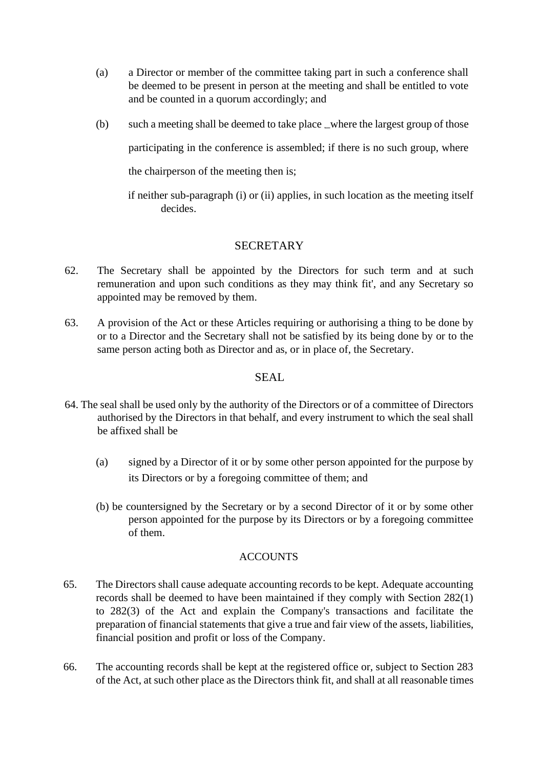- (a) a Director or member of the committee taking part in such a conference shall be deemed to be present in person at the meeting and shall be entitled to vote and be counted in a quorum accordingly; and
- $(b)$  such a meeting shall be deemed to take place \_where the largest group of those participating in the conference is assembled; if there is no such group, where the chairperson of the meeting then is;

if neither sub-paragraph (i) or (ii) applies, in such location as the meeting itself decides.

# SECRETARY

- 62. The Secretary shall be appointed by the Directors for such term and at such remuneration and upon such conditions as they may think fit', and any Secretary so appointed may be removed by them.
- 63. A provision of the Act or these Articles requiring or authorising a thing to be done by or to a Director and the Secretary shall not be satisfied by its being done by or to the same person acting both as Director and as, or in place of, the Secretary.

# SEAL.

- 64. The seal shall be used only by the authority of the Directors or of a committee of Directors authorised by the Directors in that behalf, and every instrument to which the seal shall be affixed shall be
	- (a) signed by a Director of it or by some other person appointed for the purpose by its Directors or by a foregoing committee of them; and
	- (b) be countersigned by the Secretary or by a second Director of it or by some other person appointed for the purpose by its Directors or by a foregoing committee of them.

## **ACCOUNTS**

- 65. The Directors shall cause adequate accounting records to be kept. Adequate accounting records shall be deemed to have been maintained if they comply with Section 282(1) to 282(3) of the Act and explain the Company's transactions and facilitate the preparation of financial statements that give a true and fair view of the assets, liabilities, financial position and profit or loss of the Company.
- 66. The accounting records shall be kept at the registered office or, subject to Section 283 of the Act, at such other place as the Directors think fit, and shall at all reasonable times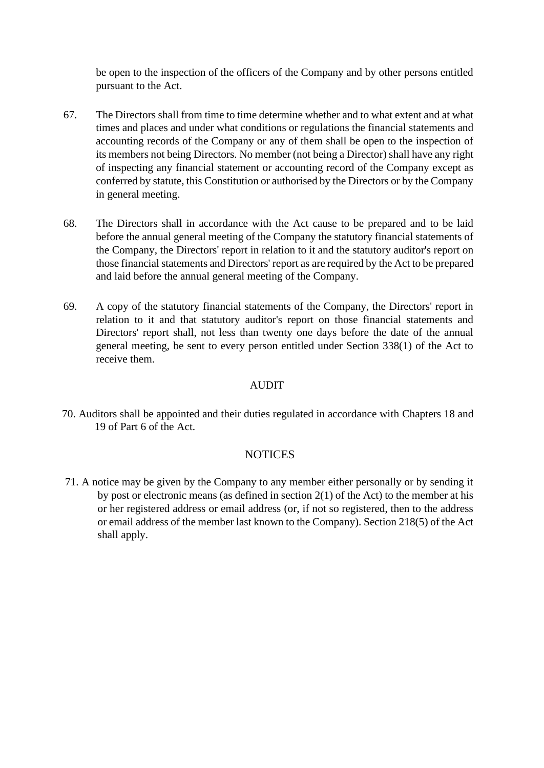be open to the inspection of the officers of the Company and by other persons entitled pursuant to the Act.

- 67. The Directors shall from time to time determine whether and to what extent and at what times and places and under what conditions or regulations the financial statements and accounting records of the Company or any of them shall be open to the inspection of its members not being Directors. No member (not being a Director) shall have any right of inspecting any financial statement or accounting record of the Company except as conferred by statute, this Constitution or authorised by the Directors or by the Company in general meeting.
- 68. The Directors shall in accordance with the Act cause to be prepared and to be laid before the annual general meeting of the Company the statutory financial statements of the Company, the Directors' report in relation to it and the statutory auditor's report on those financial statements and Directors' report as are required by the Act to be prepared and laid before the annual general meeting of the Company.
- 69. A copy of the statutory financial statements of the Company, the Directors' report in relation to it and that statutory auditor's report on those financial statements and Directors' report shall, not less than twenty one days before the date of the annual general meeting, be sent to every person entitled under Section 338(1) of the Act to receive them.

#### AUDIT

70. Auditors shall be appointed and their duties regulated in accordance with Chapters 18 and 19 of Part 6 of the Act.

## NOTICES

71. A notice may be given by the Company to any member either personally or by sending it by post or electronic means (as defined in section 2(1) of the Act) to the member at his or her registered address or email address (or, if not so registered, then to the address or email address of the member last known to the Company). Section 218(5) of the Act shall apply.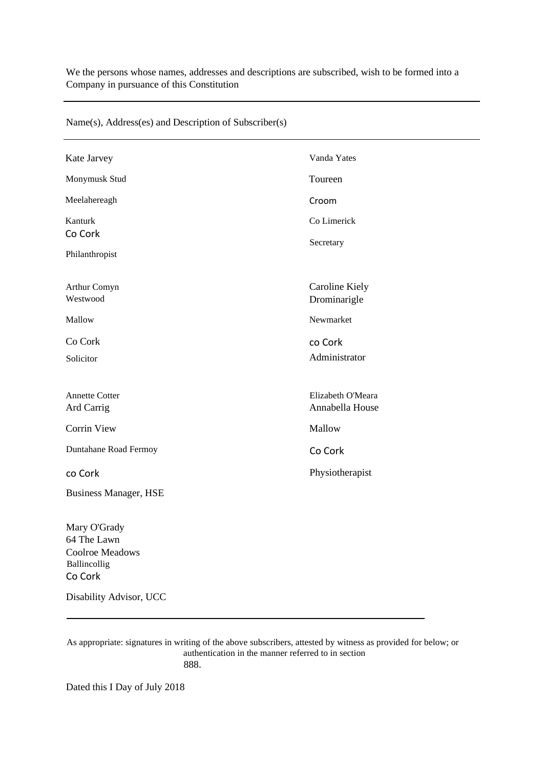We the persons whose names, addresses and descriptions are subscribed, wish to be formed into a Company in pursuance of this Constitution

| Vanda Yates<br>Kate Jarvey<br>Monymusk Stud<br>Toureen<br>Meelahereagh<br>Croom<br>Kanturk<br>Co Limerick<br>Co Cork<br>Secretary<br>Philanthropist<br><b>Caroline Kiely</b><br>Arthur Comyn<br>Westwood<br>Drominarigle<br>Newmarket<br>Mallow<br>Co Cork<br>co Cork<br>Administrator<br><b>Solicitor</b><br>Elizabeth O'Meara<br><b>Annette Cotter</b><br>Ard Carrig<br>Annabella House<br><b>Corrin View</b><br>Mallow<br>Duntahane Road Fermoy<br>Co Cork<br>Physiotherapist<br>co Cork<br><b>Business Manager, HSE</b><br>Mary O'Grady<br>64 The Lawn<br>Coolroe Meadows<br>Ballincollig<br>Co Cork |  |
|----------------------------------------------------------------------------------------------------------------------------------------------------------------------------------------------------------------------------------------------------------------------------------------------------------------------------------------------------------------------------------------------------------------------------------------------------------------------------------------------------------------------------------------------------------------------------------------------------------|--|
|                                                                                                                                                                                                                                                                                                                                                                                                                                                                                                                                                                                                          |  |
|                                                                                                                                                                                                                                                                                                                                                                                                                                                                                                                                                                                                          |  |
|                                                                                                                                                                                                                                                                                                                                                                                                                                                                                                                                                                                                          |  |
|                                                                                                                                                                                                                                                                                                                                                                                                                                                                                                                                                                                                          |  |
|                                                                                                                                                                                                                                                                                                                                                                                                                                                                                                                                                                                                          |  |
|                                                                                                                                                                                                                                                                                                                                                                                                                                                                                                                                                                                                          |  |
|                                                                                                                                                                                                                                                                                                                                                                                                                                                                                                                                                                                                          |  |
|                                                                                                                                                                                                                                                                                                                                                                                                                                                                                                                                                                                                          |  |
|                                                                                                                                                                                                                                                                                                                                                                                                                                                                                                                                                                                                          |  |
|                                                                                                                                                                                                                                                                                                                                                                                                                                                                                                                                                                                                          |  |
|                                                                                                                                                                                                                                                                                                                                                                                                                                                                                                                                                                                                          |  |
|                                                                                                                                                                                                                                                                                                                                                                                                                                                                                                                                                                                                          |  |
| Disability Advisor, UCC                                                                                                                                                                                                                                                                                                                                                                                                                                                                                                                                                                                  |  |

Name(s), Address(es) and Description of Subscriber(s)

As appropriate: signatures in writing of the above subscribers, attested by witness as provided for below; or authentication in the manner referred to in section 888.

Dated this I Day of July 2018